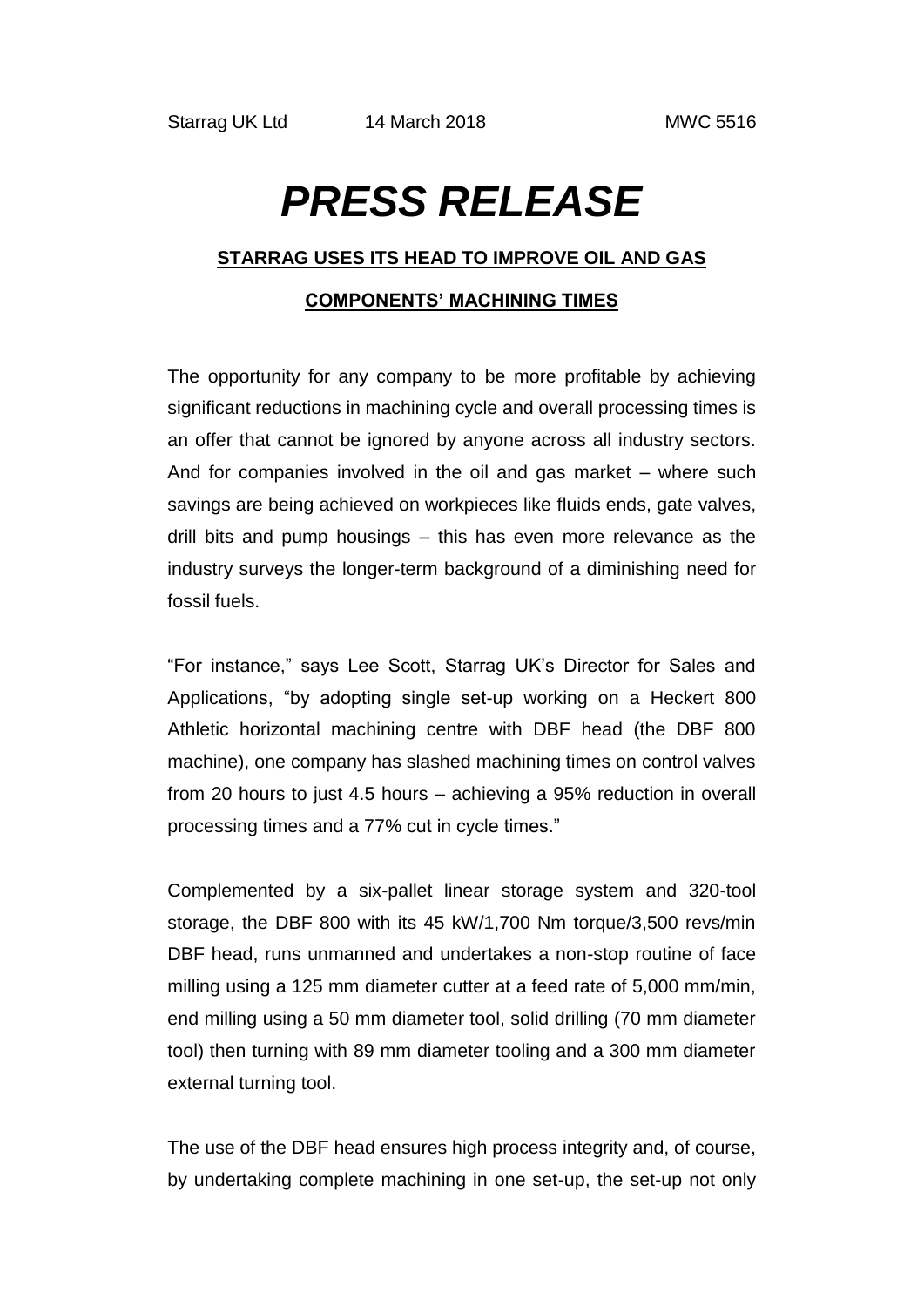# *PRESS RELEASE*

### **STARRAG USES ITS HEAD TO IMPROVE OIL AND GAS**

## **COMPONENTS' MACHINING TIMES**

The opportunity for any company to be more profitable by achieving significant reductions in machining cycle and overall processing times is an offer that cannot be ignored by anyone across all industry sectors. And for companies involved in the oil and gas market – where such savings are being achieved on workpieces like fluids ends, gate valves, drill bits and pump housings – this has even more relevance as the industry surveys the longer-term background of a diminishing need for fossil fuels.

"For instance," says Lee Scott, Starrag UK's Director for Sales and Applications, "by adopting single set-up working on a Heckert 800 Athletic horizontal machining centre with DBF head (the DBF 800 machine), one company has slashed machining times on control valves from 20 hours to just 4.5 hours – achieving a 95% reduction in overall processing times and a 77% cut in cycle times."

Complemented by a six-pallet linear storage system and 320-tool storage, the DBF 800 with its 45 kW/1,700 Nm torque/3,500 revs/min DBF head, runs unmanned and undertakes a non-stop routine of face milling using a 125 mm diameter cutter at a feed rate of 5,000 mm/min, end milling using a 50 mm diameter tool, solid drilling (70 mm diameter tool) then turning with 89 mm diameter tooling and a 300 mm diameter external turning tool.

The use of the DBF head ensures high process integrity and, of course, by undertaking complete machining in one set-up, the set-up not only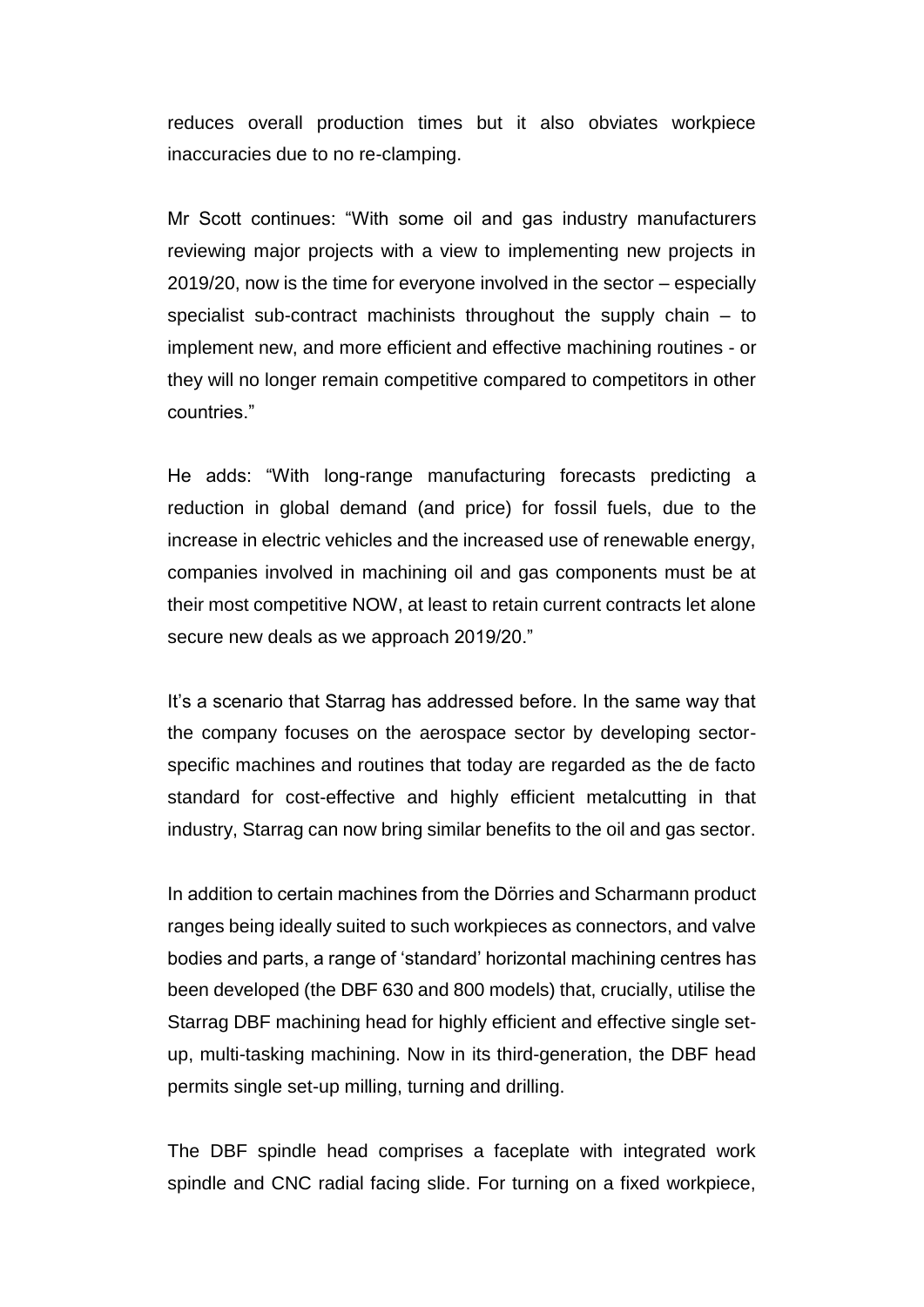reduces overall production times but it also obviates workpiece inaccuracies due to no re-clamping.

Mr Scott continues: "With some oil and gas industry manufacturers reviewing major projects with a view to implementing new projects in 2019/20, now is the time for everyone involved in the sector – especially specialist sub-contract machinists throughout the supply chain – to implement new, and more efficient and effective machining routines - or they will no longer remain competitive compared to competitors in other countries."

He adds: "With long-range manufacturing forecasts predicting a reduction in global demand (and price) for fossil fuels, due to the increase in electric vehicles and the increased use of renewable energy, companies involved in machining oil and gas components must be at their most competitive NOW, at least to retain current contracts let alone secure new deals as we approach 2019/20."

It's a scenario that Starrag has addressed before. In the same way that the company focuses on the aerospace sector by developing sectorspecific machines and routines that today are regarded as the de facto standard for cost-effective and highly efficient metalcutting in that industry, Starrag can now bring similar benefits to the oil and gas sector.

In addition to certain machines from the Dӧrries and Scharmann product ranges being ideally suited to such workpieces as connectors, and valve bodies and parts, a range of 'standard' horizontal machining centres has been developed (the DBF 630 and 800 models) that, crucially, utilise the Starrag DBF machining head for highly efficient and effective single setup, multi-tasking machining. Now in its third-generation, the DBF head permits single set-up milling, turning and drilling.

The DBF spindle head comprises a faceplate with integrated work spindle and CNC radial facing slide. For turning on a fixed workpiece,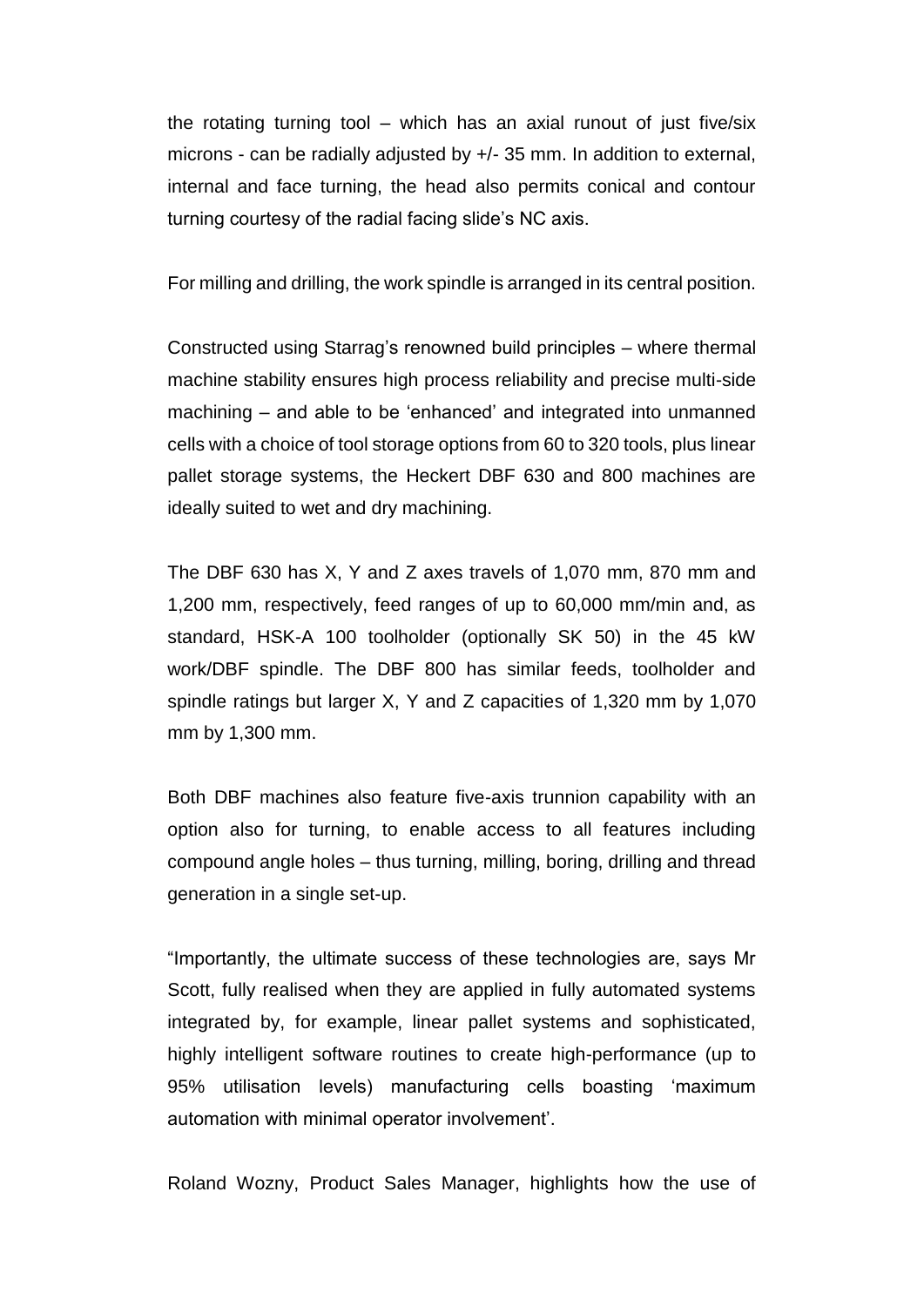the rotating turning tool – which has an axial runout of just five/six microns - can be radially adjusted by +/- 35 mm. In addition to external, internal and face turning, the head also permits conical and contour turning courtesy of the radial facing slide's NC axis.

For milling and drilling, the work spindle is arranged in its central position.

Constructed using Starrag's renowned build principles – where thermal machine stability ensures high process reliability and precise multi-side machining – and able to be 'enhanced' and integrated into unmanned cells with a choice of tool storage options from 60 to 320 tools, plus linear pallet storage systems, the Heckert DBF 630 and 800 machines are ideally suited to wet and dry machining.

The DBF 630 has X, Y and Z axes travels of 1,070 mm, 870 mm and 1,200 mm, respectively, feed ranges of up to 60,000 mm/min and, as standard, HSK-A 100 toolholder (optionally SK 50) in the 45 kW work/DBF spindle. The DBF 800 has similar feeds, toolholder and spindle ratings but larger X, Y and Z capacities of 1,320 mm by 1,070 mm by 1,300 mm.

Both DBF machines also feature five-axis trunnion capability with an option also for turning, to enable access to all features including compound angle holes – thus turning, milling, boring, drilling and thread generation in a single set-up.

"Importantly, the ultimate success of these technologies are, says Mr Scott, fully realised when they are applied in fully automated systems integrated by, for example, linear pallet systems and sophisticated, highly intelligent software routines to create high-performance (up to 95% utilisation levels) manufacturing cells boasting 'maximum automation with minimal operator involvement'.

Roland Wozny, Product Sales Manager, highlights how the use of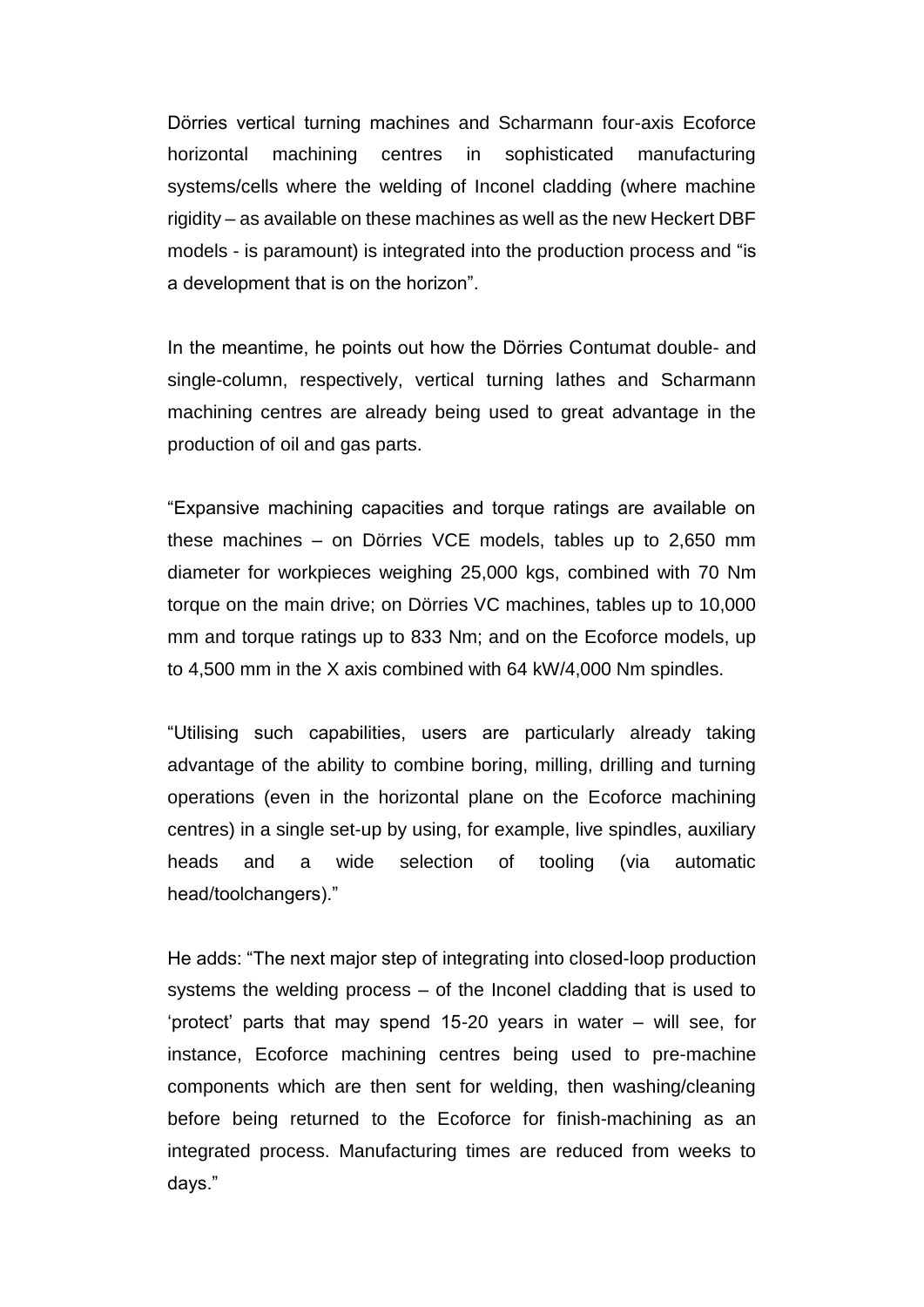Dörries vertical turning machines and Scharmann four-axis Ecoforce horizontal machining centres in sophisticated manufacturing systems/cells where the welding of Inconel cladding (where machine rigidity – as available on these machines as well as the new Heckert DBF models - is paramount) is integrated into the production process and "is a development that is on the horizon".

In the meantime, he points out how the Dӧrries Contumat double- and single-column, respectively, vertical turning lathes and Scharmann machining centres are already being used to great advantage in the production of oil and gas parts.

"Expansive machining capacities and torque ratings are available on these machines – on Dörries VCE models, tables up to 2,650 mm diameter for workpieces weighing 25,000 kgs, combined with 70 Nm torque on the main drive; on Dörries VC machines, tables up to 10,000 mm and torque ratings up to 833 Nm; and on the Ecoforce models, up to 4,500 mm in the X axis combined with 64 kW/4,000 Nm spindles.

"Utilising such capabilities, users are particularly already taking advantage of the ability to combine boring, milling, drilling and turning operations (even in the horizontal plane on the Ecoforce machining centres) in a single set-up by using, for example, live spindles, auxiliary heads and a wide selection of tooling (via automatic head/toolchangers)."

He adds: "The next major step of integrating into closed-loop production systems the welding process – of the Inconel cladding that is used to 'protect' parts that may spend 15-20 years in water – will see, for instance, Ecoforce machining centres being used to pre-machine components which are then sent for welding, then washing/cleaning before being returned to the Ecoforce for finish-machining as an integrated process. Manufacturing times are reduced from weeks to days."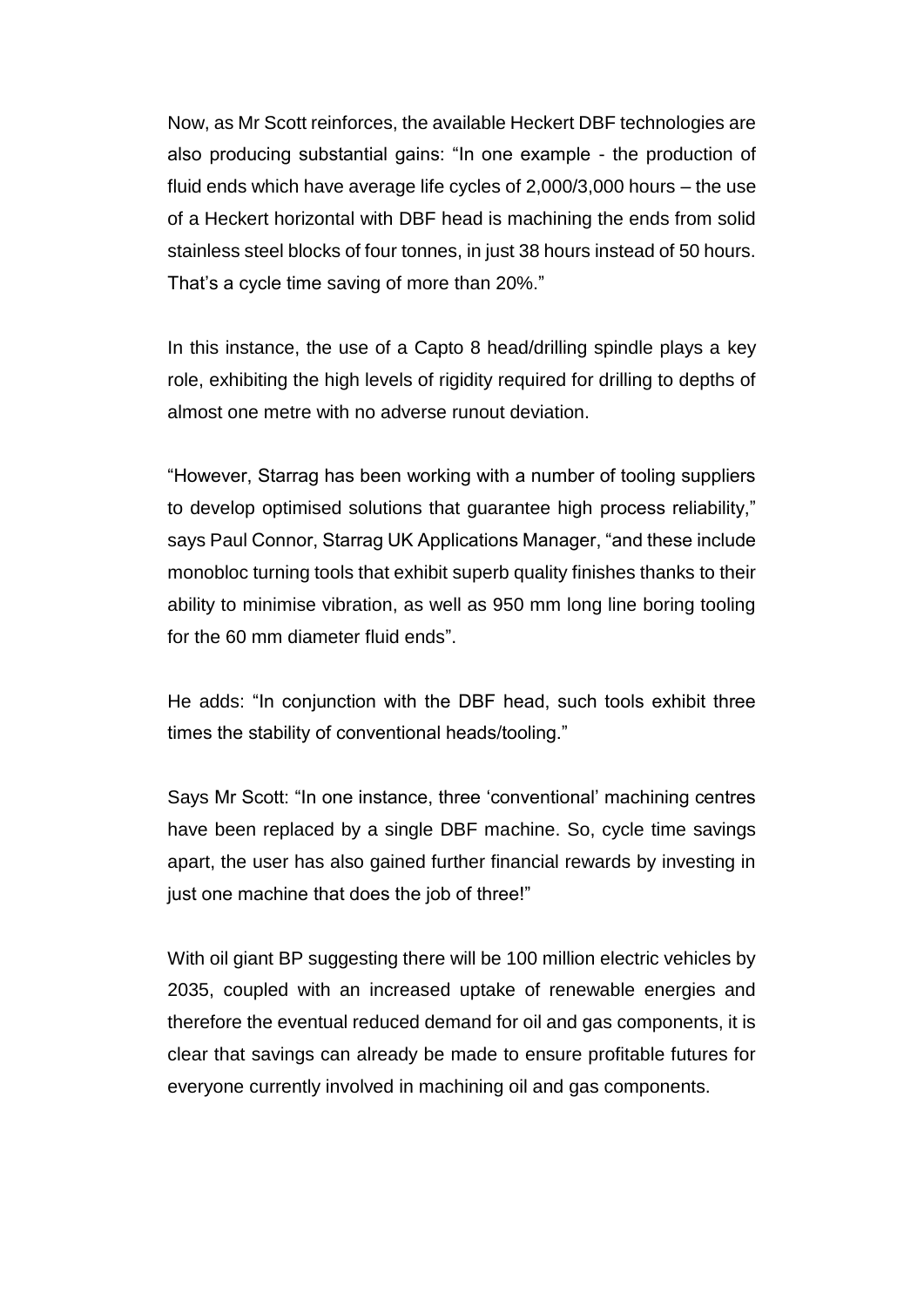Now, as Mr Scott reinforces, the available Heckert DBF technologies are also producing substantial gains: "In one example - the production of fluid ends which have average life cycles of 2,000/3,000 hours – the use of a Heckert horizontal with DBF head is machining the ends from solid stainless steel blocks of four tonnes, in just 38 hours instead of 50 hours. That's a cycle time saving of more than 20%."

In this instance, the use of a Capto 8 head/drilling spindle plays a key role, exhibiting the high levels of rigidity required for drilling to depths of almost one metre with no adverse runout deviation.

"However, Starrag has been working with a number of tooling suppliers to develop optimised solutions that guarantee high process reliability," says Paul Connor, Starrag UK Applications Manager, "and these include monobloc turning tools that exhibit superb quality finishes thanks to their ability to minimise vibration, as well as 950 mm long line boring tooling for the 60 mm diameter fluid ends".

He adds: "In conjunction with the DBF head, such tools exhibit three times the stability of conventional heads/tooling."

Says Mr Scott: "In one instance, three 'conventional' machining centres have been replaced by a single DBF machine. So, cycle time savings apart, the user has also gained further financial rewards by investing in just one machine that does the job of three!"

With oil giant BP suggesting there will be 100 million electric vehicles by 2035, coupled with an increased uptake of renewable energies and therefore the eventual reduced demand for oil and gas components, it is clear that savings can already be made to ensure profitable futures for everyone currently involved in machining oil and gas components.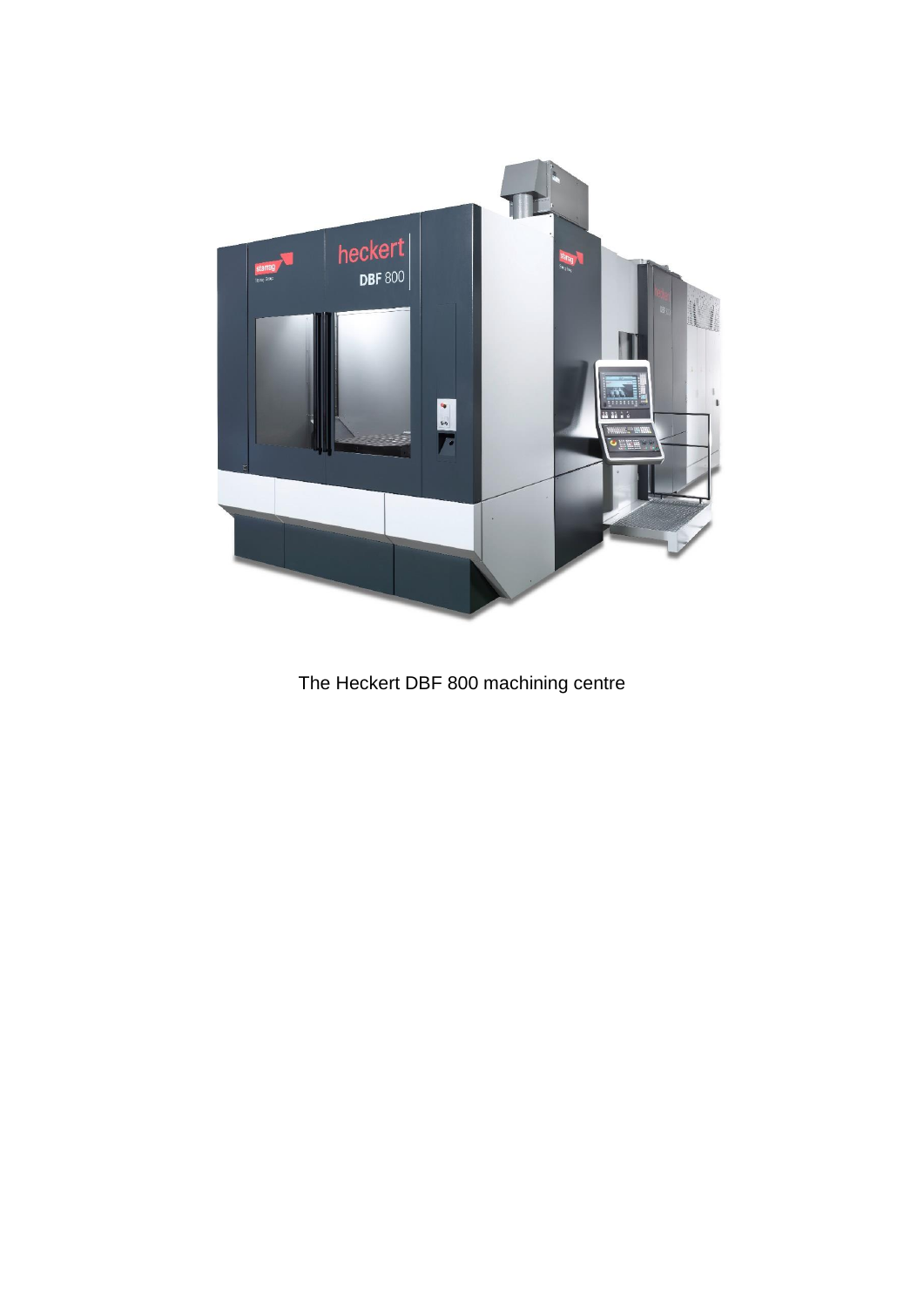

The Heckert DBF 800 machining centre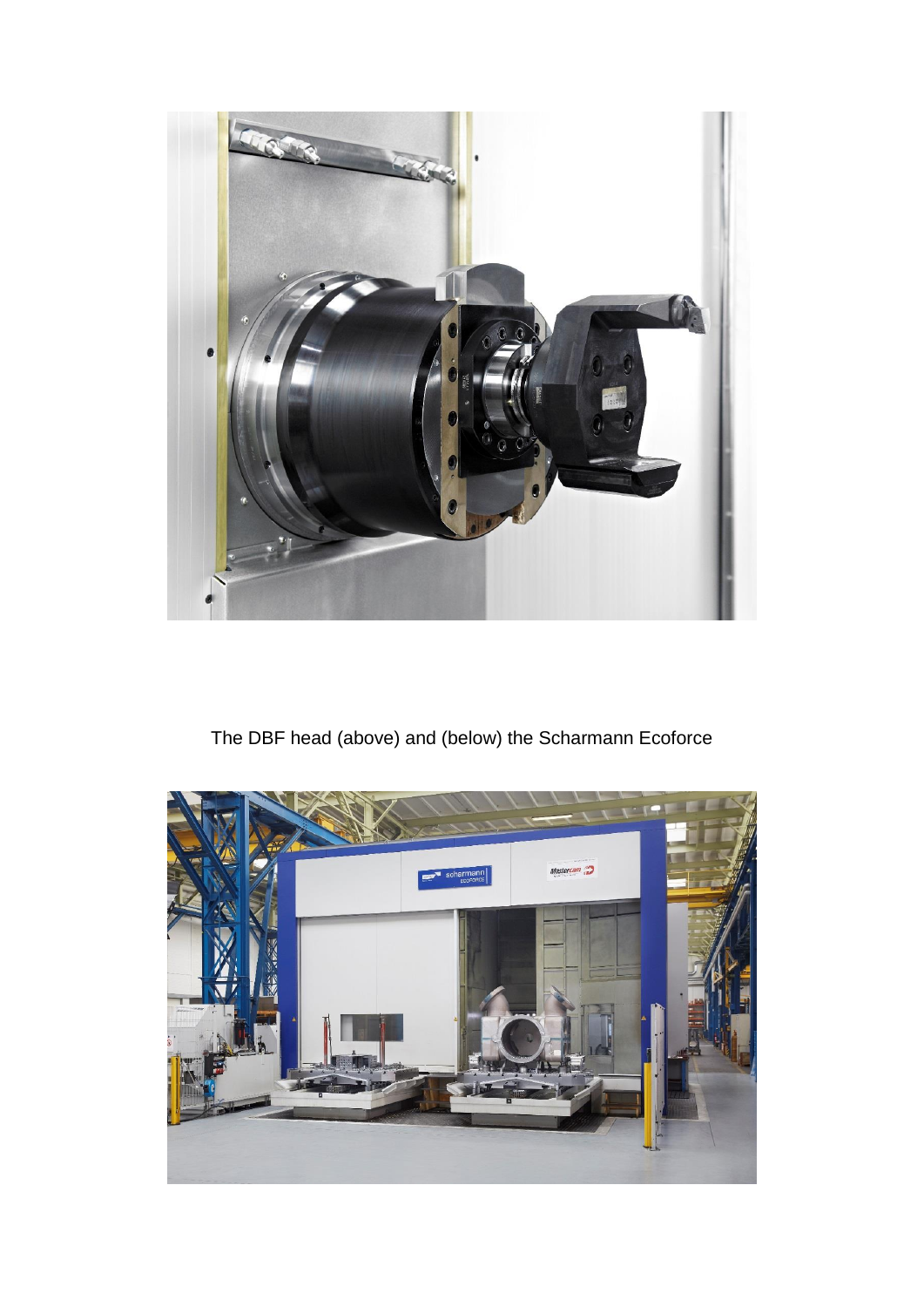

The DBF head (above) and (below) the Scharmann Ecoforce